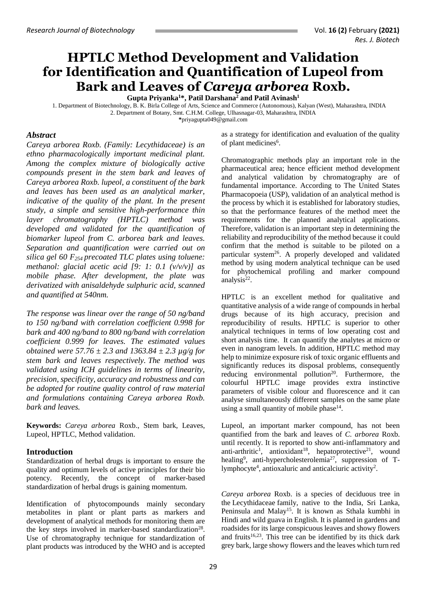# **HPTLC Method Development and Validation for Identification and Quantification of Lupeol from Bark and Leaves of** *Careya arborea* **Roxb.**

**Gupta Priyanka<sup>1</sup>\*, Patil Darshana<sup>2</sup> and Patil Avinash<sup>1</sup>**

1. Department of Biotechnology, B. K. Birla College of Arts, Science and Commerce (Autonomous), Kalyan (West), Maharashtra, INDIA 2. Department of Botany, Smt. C.H.M. College, Ulhasnagar-03, Maharashtra, INDIA **\***priyagupta049@gmail.com

#### *Abstract*

*Careya arborea Roxb. (Family: Lecythidaceae) is an ethno pharmacologically important medicinal plant. Among the complex mixture of biologically active compounds present in the stem bark and leaves of Careya arborea Roxb. lupeol, a constituent of the bark and leaves has been used as an analytical marker, indicative of the quality of the plant. In the present study, a simple and sensitive high-performance thin layer chromatography (HPTLC) method was developed and validated for the quantification of biomarker lupeol from C. arborea bark and leaves. Separation and quantification were carried out on silica gel 60 F254 precoated TLC plates using toluene: methanol: glacial acetic acid [9: 1: 0.1 (v/v/v)] as mobile phase. After development, the plate was derivatized with anisaldehyde sulphuric acid, scanned and quantified at 540nm.* 

*The response was linear over the range of 50 ng/band to 150 ng/band with correlation coefficient 0.998 for bark and 400 ng/band to 800 ng/band with correlation coefficient 0.999 for leaves. The estimated values obtained were 57.76 ± 2.3 and 1363.84 ± 2.3 µg/g for stem bark and leaves respectively. The method was validated using ICH guidelines in terms of linearity, precision, specificity, accuracy and robustness and can be adopted for routine quality control of raw material and formulations containing Careya arborea Roxb. bark and leaves.*

**Keywords:** *Careya arborea* Roxb., Stem bark, Leaves, Lupeol, HPTLC, Method validation.

#### **Introduction**

Standardization of herbal drugs is important to ensure the quality and optimum levels of active principles for their bio potency. Recently, the concept of marker-based standardization of herbal drugs is gaining momentum.

Identification of phytocompounds mainly secondary metabolites in plant or plant parts as markers and development of analytical methods for monitoring them are the key steps involved in marker-based standardization<sup>28</sup>. Use of chromatography technique for standardization of plant products was introduced by the WHO and is accepted

as a strategy for identification and evaluation of the quality of plant medicines<sup>6</sup>.

Chromatographic methods play an important role in the pharmaceutical area; hence efficient method development and analytical validation by chromatography are of fundamental importance. According to The United States Pharmacopoeia (USP), validation of an analytical method is the process by which it is established for laboratory studies, so that the performance features of the method meet the requirements for the planned analytical applications. Therefore, validation is an important step in determining the reliability and reproducibility of the method because it could confirm that the method is suitable to be piloted on a particular system<sup>26</sup>. A properly developed and validated method by using modern analytical technique can be used for phytochemical profiling and marker compound analysis<sup>22</sup>.

HPTLC is an excellent method for qualitative and quantitative analysis of a wide range of compounds in herbal drugs because of its high accuracy, precision and reproducibility of results. HPTLC is superior to other analytical techniques in terms of low operating cost and short analysis time. It can quantify the analytes at micro or even in nanogram levels. In addition, HPTLC method may help to minimize exposure risk of toxic organic effluents and significantly reduces its disposal problems, consequently reducing environmental pollution<sup>20</sup>. Furthermore, the colourful HPTLC image provides extra instinctive parameters of visible colour and fluorescence and it can analyse simultaneously different samples on the same plate using a small quantity of mobile phase<sup>14</sup>.

Lupeol, an important marker compound, has not been quantified from the bark and leaves of *C. arborea* Roxb. until recently. It is reported to show anti-inflammatory and anti-arthritic<sup>1</sup>, antioxidant<sup>18</sup>, hepatoprotective<sup>21</sup>, wound healing<sup>9</sup>, anti-hypercholesterolemia<sup>27</sup>, suppression of Tlymphocyte<sup>4</sup>, antioxaluric and anticalciuric activity<sup>2</sup>.

*Careya arborea* Roxb. is a species of deciduous tree in the [Lecythidaceae](https://en.wikipedia.org/wiki/Lecythidaceae) family, native to the India, Sri Lanka, Peninsula and Malay<sup>15</sup>. It is known as Sthala kumbhi in Hindi and wild guava in English. It is planted in gardens and roadsides for its large conspicuous leaves and showy flowers and fruits<sup>16,23</sup>. This tree can be identified by its thick dark grey bark, large showy flowers and the leaves which turn red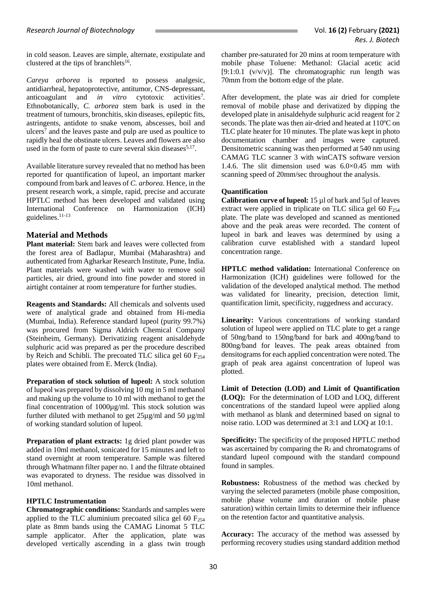in cold season. Leaves are simple, alternate, exstipulate and clustered at the tips of branchlets<sup>16</sup>.

*Careya arborea* is reported to possess analgesic, antidiarrheal, hepatoprotective, antitumor, CNS-depressant, anticoagulant and *in vitro* cytotoxic activities<sup>7</sup>. Ethnobotanically, *C. arborea* stem bark is used in the treatment of tumours, bronchitis, skin diseases, epileptic fits, astringents, antidote to snake venom, abscesses, boil and ulcers<sup>7</sup> and the leaves paste and pulp are used as poultice to rapidly heal the obstinate ulcers. Leaves and flowers are also used in the form of paste to cure several skin diseases $5,17$ .

Available literature survey revealed that no method has been reported for quantification of lupeol, an important marker compound from bark and leaves of *C. arborea.* Hence, in the present research work, a simple, rapid, precise and accurate HPTLC method has been developed and validated using International Conference on Harmonization (ICH) guidelines. 11-13

# **Material and Methods**

**Plant material:** Stem bark and leaves were collected from the forest area of Badlapur, Mumbai (Maharashtra) and authenticated from Agharkar Research Institute, Pune, India. Plant materials were washed with water to remove soil particles, air dried, ground into fine powder and stored in airtight container at room temperature for further studies.

**Reagents and Standards:** All chemicals and solvents used were of analytical grade and obtained from Hi-media (Mumbai, India). Reference standard lupeol (purity 99.7%) was procured from Sigma Aldrich Chemical Company (Steinheim, Germany). Derivatizing reagent anisaldehyde sulphuric acid was prepared as per the procedure described by Reich and Schibli. The precoated TLC silica gel 60  $F_{254}$ plates were obtained from E. Merck (India).

**Preparation of stock solution of lupeol:** A stock solution of lupeol was prepared by dissolving 10 mg in 5 ml methanol and making up the volume to 10 ml with methanol to get the final concentration of 1000µg/ml. This stock solution was further diluted with methanol to get 25µg/ml and 50 µg/ml of working standard solution of lupeol.

**Preparation of plant extracts:** 1g dried plant powder was added in 10ml methanol, sonicated for 15 minutes and left to stand overnight at room temperature. Sample was filtered through Whatmann filter paper no. 1 and the filtrate obtained was evaporated to dryness. The residue was dissolved in 10ml methanol.

# **HPTLC Instrumentation**

**Chromatographic conditions:** Standards and samples were applied to the TLC aluminium precoated silica gel 60  $F_{254}$ plate as 8mm bands using the CAMAG Linomat 5 TLC sample applicator. After the application, plate was developed vertically ascending in a glass twin trough chamber pre-saturated for 20 mins at room temperature with mobile phase Toluene: Methanol: Glacial acetic acid [9:1:0.1 ( $v/v/v$ )]. The chromatographic run length was 70mm from the bottom edge of the plate.

After development, the plate was air dried for complete removal of mobile phase and derivatized by dipping the developed plate in anisaldehyde sulphuric acid reagent for 2 seconds. The plate was then air-dried and heated at 110ºC on TLC plate heater for 10 minutes. The plate was kept in photo documentation chamber and images were captured. Densitometric scanning was then performed at 540 nm using CAMAG TLC scanner 3 with winCATS software version 1.4.6. The slit dimension used was 6.0×0.45 mm with scanning speed of 20mm/sec throughout the analysis.

#### **Quantification**

**Calibration curve of lupeol:** 15 µl of bark and 5µl of leaves extract were applied in triplicate on TLC silica gel 60  $F_{254}$ plate. The plate was developed and scanned as mentioned above and the peak areas were recorded. The content of lupeol in bark and leaves was determined by using a calibration curve established with a standard lupeol concentration range.

**HPTLC method validation:** International Conference on Harmonization (ICH) guidelines were followed for the validation of the developed analytical method. The method was validated for linearity, precision, detection limit, quantification limit, specificity, ruggedness and accuracy.

**Linearity:** Various concentrations of working standard solution of lupeol were applied on TLC plate to get a range of 50ng/band to 150ng/band for bark and 400ng/band to 800ng/band for leaves. The peak areas obtained from densitograms for each applied concentration were noted. The graph of peak area against concentration of lupeol was plotted.

**Limit of Detection (LOD) and Limit of Quantification (LOQ):** For the determination of LOD and LOQ, different concentrations of the standard lupeol were applied along with methanol as blank and determined based on signal to noise ratio. LOD was determined at 3:1 and LOQ at 10:1.

**Specificity:** The specificity of the proposed HPTLC method was ascertained by comparing the  $R_f$  and chromatograms of standard lupeol compound with the standard compound found in samples.

**Robustness:** Robustness of the method was checked by varying the selected parameters (mobile phase composition, mobile phase volume and duration of mobile phase saturation) within certain limits to determine their influence on the retention factor and quantitative analysis.

**Accuracy:** The accuracy of the method was assessed by performing recovery studies using standard addition method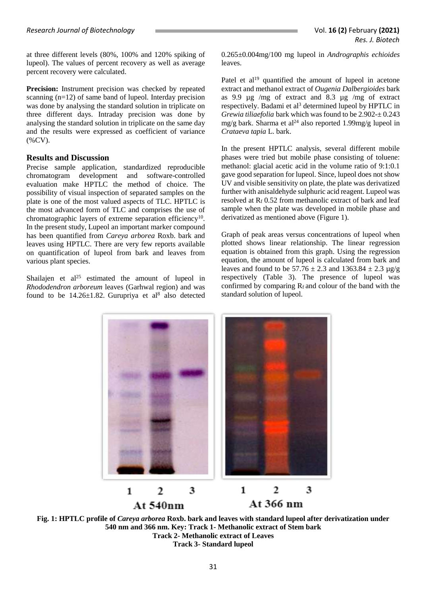at three different levels (80%, 100% and 120% spiking of lupeol). The values of percent recovery as well as average percent recovery were calculated.

Precision: Instrument precision was checked by repeated scanning (n=12) of same band of lupeol. Interday precision was done by analysing the standard solution in triplicate on three different days. Intraday precision was done by analysing the standard solution in triplicate on the same day and the results were expressed as coefficient of variance (%CV).

## **Results and Discussion**

Precise sample application, standardized reproducible chromatogram development and software-controlled evaluation make HPTLC the method of choice. The possibility of visual inspection of separated samples on the plate is one of the most valued aspects of TLC. HPTLC is the most advanced form of TLC and comprises the use of chromatographic layers of extreme separation efficiency<sup>10</sup>. In the present study, Lupeol an important marker compound has been quantified from *Careya arborea* Roxb. bark and leaves using HPTLC. There are very few reports available on quantification of lupeol from bark and leaves from various plant species.

Shailajen et  $al^{25}$  estimated the amount of lupeol in *Rhododendron arboreum* leaves (Garhwal region) and was found to be  $14.26 \pm 1.82$ . Gurupriya et al<sup>8</sup> also detected 0.265±0.004mg/100 mg lupeol in *Andrographis echioides*  leaves.

Patel et  $al<sup>19</sup>$  quantified the amount of lupeol in acetone extract and methanol extract of *Ougenia Dalbergioides* bark as 9.9 µg /mg of extract and 8.3 µg /mg of extract respectively. Badami et al<sup>3</sup> determined lupeol by HPTLC in *Grewia tiliaefolia* bark which was found to be 2.902-± 0.243 mg/g bark. Sharma et al<sup>24</sup> also reported 1.99mg/g lupeol in *Crataeva tapia* L. bark.

In the present HPTLC analysis, several different mobile phases were tried but mobile phase consisting of toluene: methanol: glacial acetic acid in the volume ratio of 9:1:0.1 gave good separation for lupeol. Since, lupeol does not show UV and visible sensitivity on plate, the plate was derivatized further with anisaldehyde sulphuric acid reagent. Lupeol was resolved at  $R_f$  0.52 from methanolic extract of bark and leaf sample when the plate was developed in mobile phase and derivatized as mentioned above (Figure 1).

Graph of peak areas versus concentrations of lupeol when plotted shows linear relationship. The linear regression equation is obtained from this graph. Using the regression equation, the amount of lupeol is calculated from bark and leaves and found to be  $57.76 \pm 2.3$  and  $1363.84 \pm 2.3$  ug/g respectively (Table 3). The presence of lupeol was confirmed by comparing  $R_f$  and colour of the band with the standard solution of lupeol.



3

 $\overline{2}$ 

At 540nm

1

 $\overline{2}$ 

At 366 nm

3

1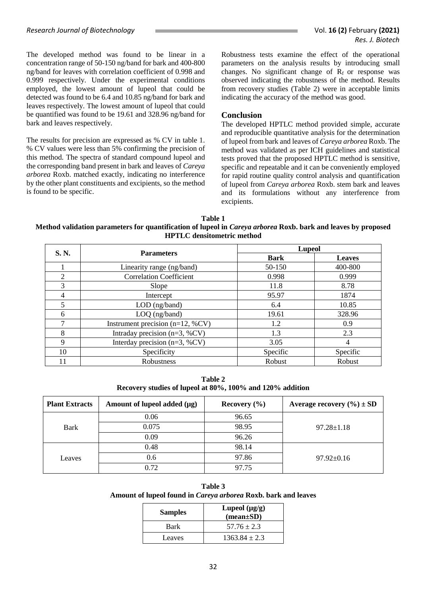The developed method was found to be linear in a concentration range of 50-150 ng/band for bark and 400-800 ng/band for leaves with correlation coefficient of 0.998 and 0.999 respectively. Under the experimental conditions employed, the lowest amount of lupeol that could be detected was found to be 6.4 and 10.85 ng/band for bark and leaves respectively. The lowest amount of lupeol that could be quantified was found to be 19.61 and 328.96 ng/band for bark and leaves respectively.

The results for precision are expressed as % CV in table 1. % CV values were less than 5% confirming the precision of this method. The spectra of standard compound lupeol and the corresponding band present in bark and leaves of *Careya arborea* Roxb. matched exactly, indicating no interference by the other plant constituents and excipients, so the method is found to be specific.

Robustness tests examine the effect of the operational parameters on the analysis results by introducing small changes. No significant change of  $R_f$  or response was observed indicating the robustness of the method. Results from recovery studies (Table 2) were in acceptable limits indicating the accuracy of the method was good.

#### **Conclusion**

The developed HPTLC method provided simple, accurate and reproducible quantitative analysis for the determination of lupeol from bark and leaves of *Careya arborea* Roxb. The method was validated as per ICH guidelines and statistical tests proved that the proposed HPTLC method is sensitive, specific and repeatable and it can be conveniently employed for rapid routine quality control analysis and quantification of lupeol from *Careya arborea* Roxb. stem bark and leaves and its formulations without any interference from excipients.

#### **Table 1 Method validation parameters for quantification of lupeol in** *Careya arborea* **Roxb. bark and leaves by proposed HPTLC densitometric method**

| S. N.          | <b>Parameters</b>                    | <b>Lupeol</b> |               |
|----------------|--------------------------------------|---------------|---------------|
|                |                                      | <b>Bark</b>   | <b>Leaves</b> |
|                | Linearity range (ng/band)            | 50-150        | 400-800       |
| $\overline{2}$ | <b>Correlation Coefficient</b>       | 0.998         | 0.999         |
| 3              | Slope                                | 11.8          | 8.78          |
| 4              | Intercept                            | 95.97         | 1874          |
|                | LOD (ng/band)                        | 6.4           | 10.85         |
| 6              | LOQ (ng/band)                        | 19.61         | 328.96        |
|                | Instrument precision ( $n=12$ , %CV) | 1.2           | 0.9           |
| 8              | Intraday precision ( $n=3$ , %CV)    | 1.3           | 2.3           |
| 9              | Interday precision ( $n=3$ , %CV)    | 3.05          | 4             |
| 10             | Specificity                          | Specific      | Specific      |
|                | Robustness                           | Robust        | Robust        |

**Table 2 Recovery studies of lupeol at 80%, 100% and 120% addition**

| <b>Plant Extracts</b> | Amount of lupeol added $(\mu g)$ | Recovery $(\% )$ | Average recovery $(\% ) \pm SD$ |
|-----------------------|----------------------------------|------------------|---------------------------------|
|                       | 0.06                             | 96.65            |                                 |
| Bark                  | 0.075                            | 98.95            | $97.28 \pm 1.18$                |
|                       | 0.09                             | 96.26            |                                 |
|                       | 0.48                             | 98.14            |                                 |
| Leaves                | 0.6                              | 97.86            | $97.92 \pm 0.16$                |
|                       | 0.72                             | 97.75            |                                 |

**Table 3 Amount of lupeol found in** *Careya arborea* **Roxb. bark and leaves**

| <b>Samples</b> | Lupeol $(\mu g/g)$<br>$(mean \pm SD)$ |
|----------------|---------------------------------------|
| Bark           | $57.76 \pm 2.3$                       |
| Leaves         | $1363.84 \pm 2.3$                     |